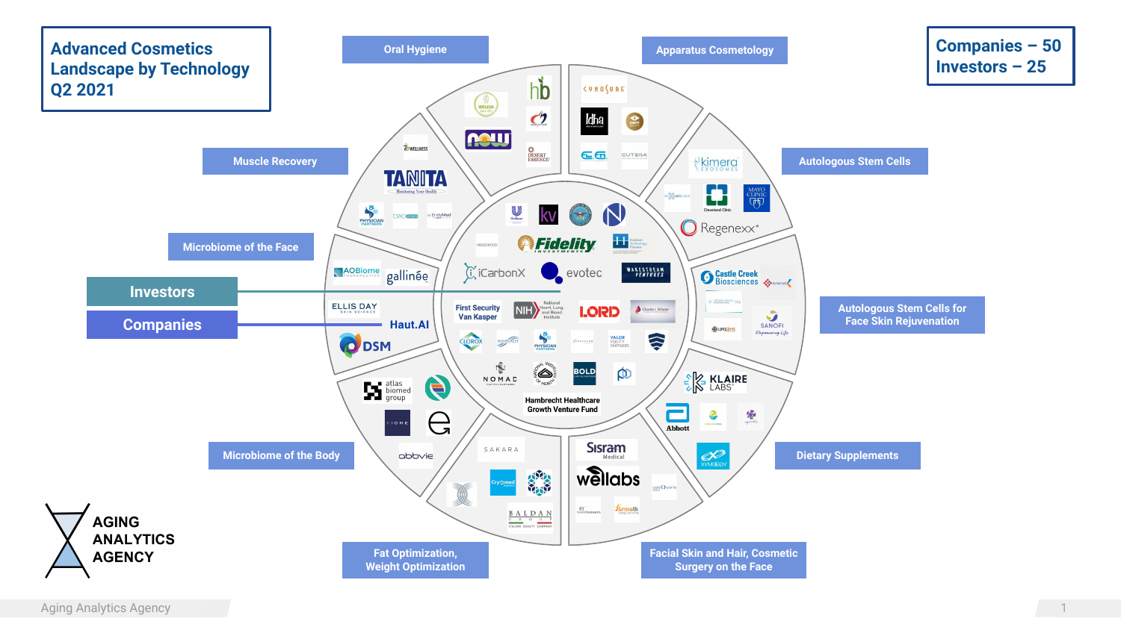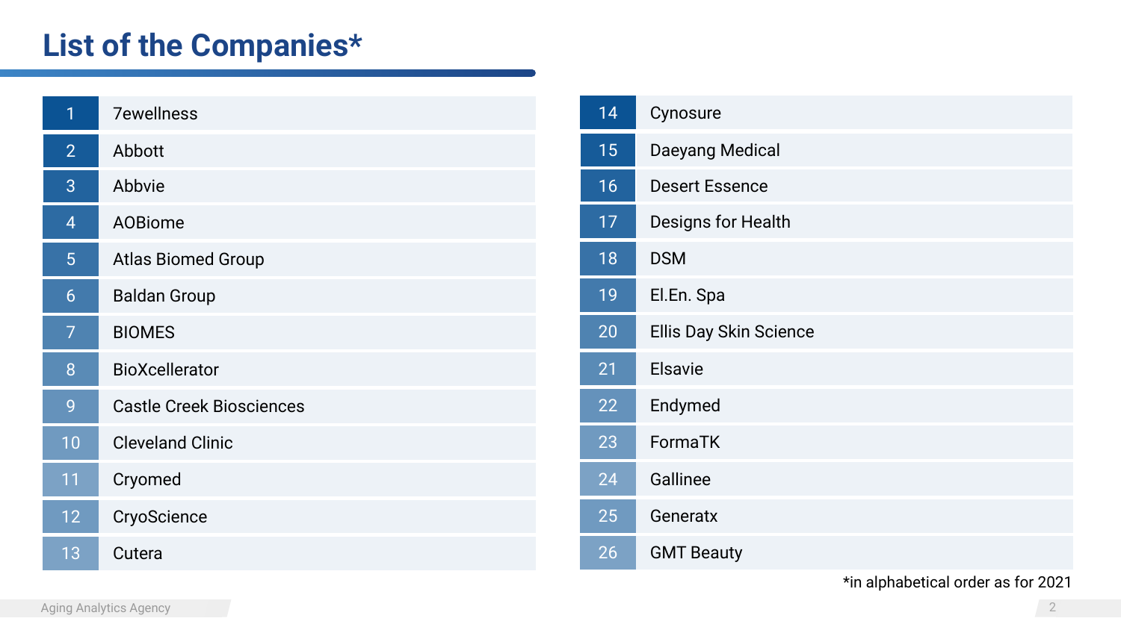## **List of the Companies\***

| 1              | <b>7ewellness</b>               |
|----------------|---------------------------------|
| $\overline{2}$ | Abbott                          |
| 3              | Abbvie                          |
| $\overline{4}$ | <b>AOBiome</b>                  |
| 5              | <b>Atlas Biomed Group</b>       |
| 6              | <b>Baldan Group</b>             |
| $\overline{7}$ | <b>BIOMES</b>                   |
| 8              | <b>BioXcellerator</b>           |
| 9              | <b>Castle Creek Biosciences</b> |
| 10             | <b>Cleveland Clinic</b>         |
| 11             | Cryomed                         |
| 12             | CryoScience                     |
| 13             | Cutera                          |

| 14 | Cynosure               |
|----|------------------------|
| 15 | Daeyang Medical        |
| 16 | <b>Desert Essence</b>  |
| 17 | Designs for Health     |
| 18 | <b>DSM</b>             |
| 19 | El.En. Spa             |
| 20 | Ellis Day Skin Science |
| 21 | Elsavie                |
| 22 | Endymed                |
| 23 | FormaTK                |
| 24 | Gallinee               |
| 25 | Generatx               |
| 26 | <b>GMT Beauty</b>      |

\*in alphabetical order as for 2021